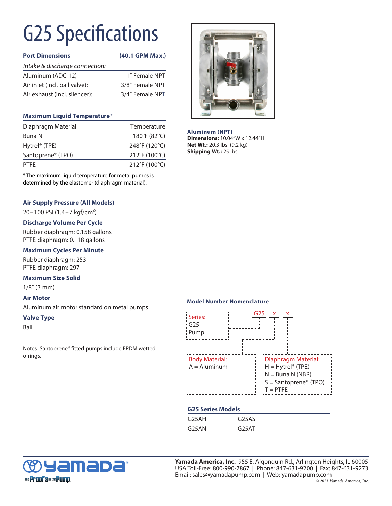# G25 Specifications

| <b>Port Dimensions</b>         | (40.1 GPM Max.) |
|--------------------------------|-----------------|
| Intake & discharge connection: |                 |
| Aluminum (ADC-12)              | 1" Female NPT   |
| Air inlet (incl. ball valve):  | 3/8" Female NPT |
| Air exhaust (incl. silencer):  | 3/4" Female NPT |

### **Maximum Liquid Temperature\***

| Diaphragm Material            | Temperature   |
|-------------------------------|---------------|
| Buna N                        | 180°F (82°C)  |
| Hytrel <sup>®</sup> (TPE)     | 248°F (120°C) |
| Santoprene <sup>®</sup> (TPO) | 212°F (100°C) |
| <b>PTFF</b>                   | 212°F (100°C) |

\* The maximum liquid temperature for metal pumps is determined by the elastomer (diaphragm material).

## **Air Supply Pressure (All Models)**

20–100 PSI (1.4–7 kgf/cm²)

### **Discharge Volume Per Cycle**

Rubber diaphragm: 0.158 gallons PTFE diaphragm: 0.118 gallons

#### **Maximum Cycles Per Minute**

Rubber diaphragm: 253 PTFE diaphragm: 297

#### **Maximum Size Solid**

1/8" (3 mm)

#### **Air Motor**

Aluminum air motor standard on metal pumps.

#### **Valve Type**

Ball

Notes: Santoprene*®* fitted pumps include EPDM wetted o-rings.



**Aluminum (NPT) Dimensions:** 10.04"W x 12.44"H **Net Wt.:** 20.3 lbs. (9.2 kg) **Shipping Wt.: 25 lbs.** 

#### **Model Number Nomenclature**



### **G25 Series Models**

| G25AH | G <sub>25</sub> AS |
|-------|--------------------|
| G25AN | G25AT              |



**Yamada America, Inc.** 955 E. Algonquin Rd., Arlington Heights, IL 60005 USA Toll-Free: 800-990-7867 | Phone: 847-631-9200 | Fax: 847-631-9273 Email: sales@yamadapump.com | Web: yamadapump.com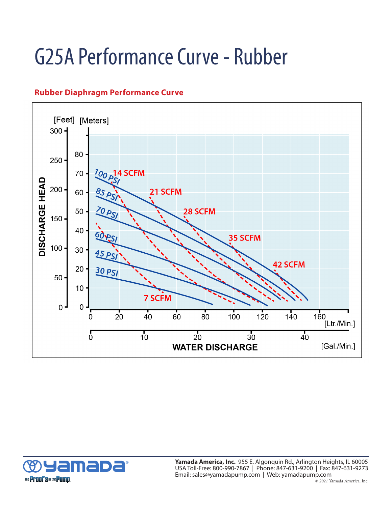# G25A Performance Curve - Rubber

## **Rubber Diaphragm Performance Curve**





® **Yamada America, Inc.** 955 E. Algonquin Rd., Arlington Heights, IL 60005 USA Toll-Free: 800-990-7867 | Phone: 847-631-9200 | Fax: 847-631-9273 Email: sales@yamadapump.com | Web: yamadapump.com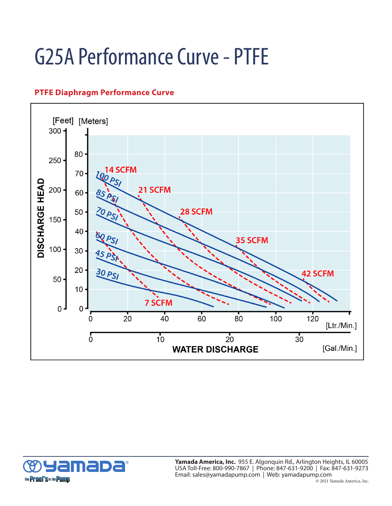# G25A Performance Curve - PTFE

# **PTFE Diaphragm Performance Curve**





**Yamada America, Inc.** 955 E. Algonquin Rd., Arlington Heights, IL 60005 USA Toll-Free: 800-990-7867 | Phone: 847-631-9200 | Fax: 847-631-9273 Email: sales@yamadapump.com | Web: yamadapump.com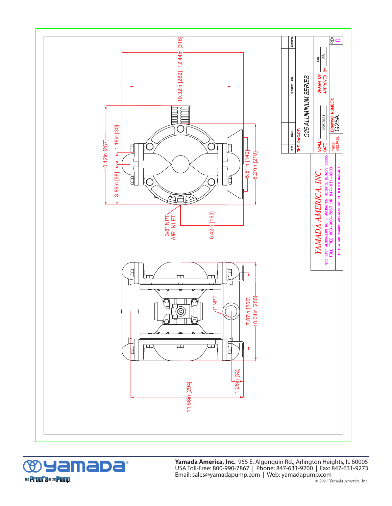



® **Yamada America, Inc.** 955 E. Algonquin Rd., Arlington Heights, IL 60005 USA Toll-Free: 800-990-7867 | Phone: 847-631-9200 | Fax: 847-631-9273 Email: sales@yamadapump.com | Web: yamadapump.com